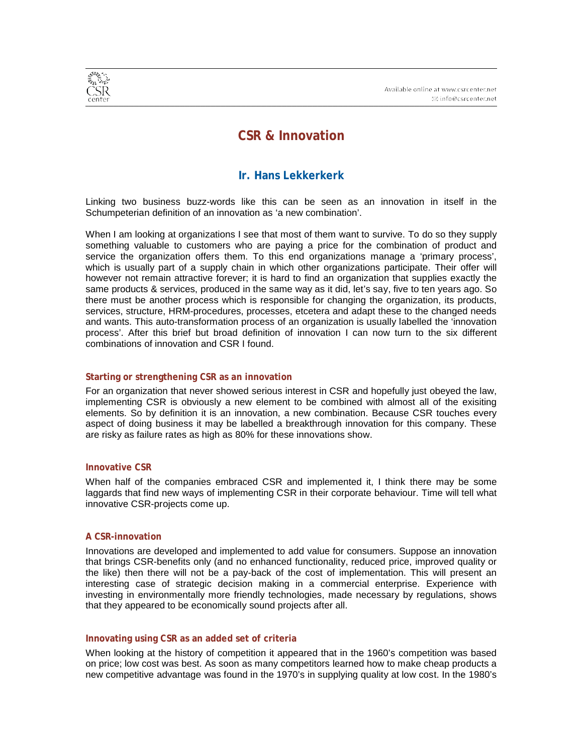

# **CSR & Innovation**

# **Ir. Hans Lekkerkerk**

Linking two business buzz-words like this can be seen as an innovation in itself in the Schumpeterian definition of an innovation as 'a new combination'.

When I am looking at organizations I see that most of them want to survive. To do so they supply something valuable to customers who are paying a price for the combination of product and service the organization offers them. To this end organizations manage a 'primary process', which is usually part of a supply chain in which other organizations participate. Their offer will however not remain attractive forever; it is hard to find an organization that supplies exactly the same products & services, produced in the same way as it did, let's say, five to ten years ago. So there must be another process which is responsible for changing the organization, its products, services, structure, HRM-procedures, processes, etcetera and adapt these to the changed needs and wants. This auto-transformation process of an organization is usually labelled the 'innovation process'. After this brief but broad definition of innovation I can now turn to the six different combinations of innovation and CSR I found.

## **Starting or strengthening CSR as an innovation**

For an organization that never showed serious interest in CSR and hopefully just obeyed the law, implementing CSR is obviously a new element to be combined with almost all of the exisiting elements. So by definition it is an innovation, a new combination. Because CSR touches every aspect of doing business it may be labelled a breakthrough innovation for this company. These are risky as failure rates as high as 80% for these innovations show.

### **Innovative CSR**

When half of the companies embraced CSR and implemented it, I think there may be some laggards that find new ways of implementing CSR in their corporate behaviour. Time will tell what innovative CSR-projects come up.

### **A CSR-innovation**

Innovations are developed and implemented to add value for consumers. Suppose an innovation that brings CSR-benefits only (and no enhanced functionality, reduced price, improved quality or the like) then there will not be a pay-back of the cost of implementation. This will present an interesting case of strategic decision making in a commercial enterprise. Experience with investing in environmentally more friendly technologies, made necessary by regulations, shows that they appeared to be economically sound projects after all.

### **Innovating using CSR as an added set of criteria**

When looking at the history of competition it appeared that in the 1960's competition was based on price; low cost was best. As soon as many competitors learned how to make cheap products a new competitive advantage was found in the 1970's in supplying quality at low cost. In the 1980's